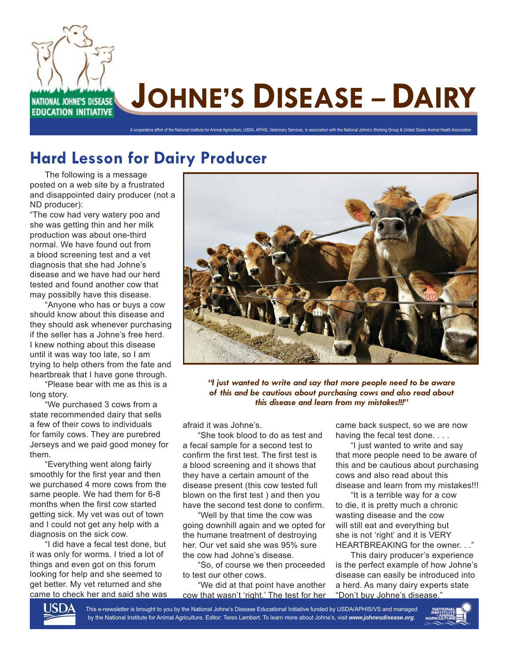

### **Hard Lesson for Dairy Producer**

The following is a message posted on a web site by a frustrated and disappointed dairy producer (not a ND producer):

"The cow had very watery poo and she was getting thin and her milk production was about one-third normal. We have found out from a blood screening test and a vet diagnosis that she had Johne's disease and we have had our herd tested and found another cow that may possiblly have this disease.

"Anyone who has or buys a cow should know about this disease and they should ask whenever purchasing if the seller has a Johne's free herd. I knew nothing about this disease until it was way too late, so I am trying to help others from the fate and heartbreak that I have gone through.

"Please bear with me as this is a long story.

"We purchased 3 cows from a state recommended dairy that sells a few of their cows to individuals for family cows. They are purebred Jerseys and we paid good money for them.

"Everything went along fairly smoothly for the first year and then we purchased 4 more cows from the same people. We had them for 6-8 months when the first cow started getting sick. My vet was out of town and I could not get any help with a diagnosis on the sick cow.

"I did have a fecal test done, but it was only for worms. I tried a lot of things and even got on this forum looking for help and she seemed to get better. My vet returned and she came to check her and said she was



*"I just wanted to write and say that more people need to be aware of this and be cautious about purchasing cows and also read about this disease and learn from my mistakes!!!"*

afraid it was Johne's.

"She took blood to do as test and a fecal sample for a second test to confirm the first test. The first test is a blood screening and it shows that they have a certain amount of the disease present (this cow tested full blown on the first test) and then you have the second test done to confirm.

"Well by that time the cow was going downhill again and we opted for the humane treatment of destroying her. Our vet said she was 95% sure the cow had Johne's disease.

"So, of course we then proceeded to test our other cows.

"We did at that point have another cow that wasn't 'right.' The test for her came back suspect, so we are now having the fecal test done. . . .

"I just wanted to write and say that more people need to be aware of this and be cautious about purchasing cows and also read about this disease and learn from my mistakes!!!

"It is a terrible way for a cow to die, it is pretty much a chronic wasting disease and the cow will still eat and everything but she is not 'right' and it is VERY HEARTBREAKING for the owner. . .<sup>"</sup>

This dairy producer's experience is the perfect example of how Johne's disease can easily be introduced into a herd. As many dairy experts state "Don't buy Johne's disease."



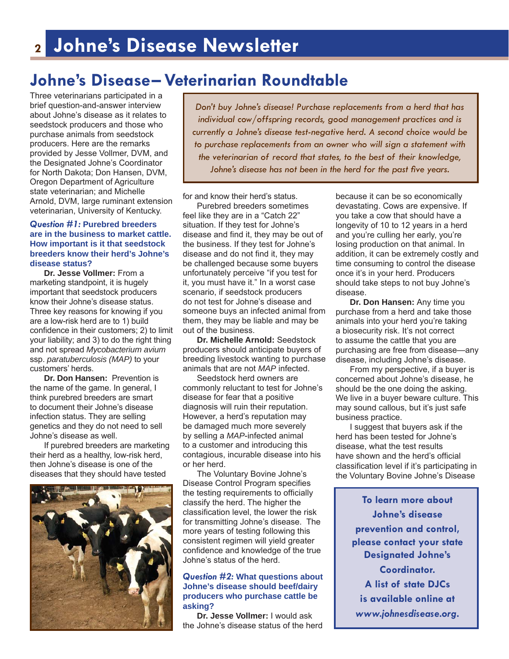## **Johne's Disease– Veterinarian Roundtable**

Three veterinarians participated in a brief question-and-answer interview about Johne's disease as it relates to seedstock producers and those who purchase animals from seedstock producers. Here are the remarks provided by Jesse Vollmer, DVM, and the Designated Johne's Coordinator for North Dakota; Don Hansen, DVM, Oregon Department of Agriculture state veterinarian; and Michelle Arnold, DVM, large ruminant extension veterinarian, University of Kentucky.

#### *Question #1:* **Purebred breeders are in the business to market cattle. How important is it that seedstock breeders know their herd's Johne's disease status?**

 **Dr. Jesse Vollmer:** From a marketing standpoint, it is hugely important that seedstock producers know their Johne's disease status. Three key reasons for knowing if you are a low-risk herd are to 1) build confidence in their customers; 2) to limit your liability; and 3) to do the right thing and not spread *Mycobacterium avium* ssp. *paratuberculosis (MAP)* to your customers' herds.

**Dr. Don Hansen:** Prevention is the name of the game. In general, I think purebred breeders are smart to document their Johne's disease infection status. They are selling genetics and they do not need to sell Johne's disease as well.

 If purebred breeders are marketing their herd as a healthy, low-risk herd, then Johne's disease is one of the diseases that they should have tested



*Don't buy Johne's disease! Purchase replacements from a herd that has individual cow/offspring records, good management practices and is currently a Johne's disease test-negative herd. A second choice would be to purchase replacements from an owner who will sign a statement with the veterinarian of record that states, to the best of their knowledge,*  Johne's disease has not been in the herd for the past five years.

for and know their herd's status.

 Purebred breeders sometimes feel like they are in a "Catch 22" situation. If they test for Johne's disease and find it, they may be out of the business. If they test for Johne's disease and do not find it, they may be challenged because some buyers unfortunately perceive "if you test for it, you must have it." In a worst case scenario, if seedstock producers do not test for Johne's disease and someone buys an infected animal from them, they may be liable and may be out of the business.

 **Dr. Michelle Arnold:** Seedstock producers should anticipate buyers of breeding livestock wanting to purchase animals that are not *MAP* infected.

 Seedstock herd owners are commonly reluctant to test for Johne's disease for fear that a positive diagnosis will ruin their reputation. However, a herd's reputation may be damaged much more severely by selling a *MAP*-infected animal to a customer and introducing this contagious, incurable disease into his or her herd.

 The Voluntary Bovine Johne's Disease Control Program specifies the testing requirements to officially classify the herd. The higher the classification level, the lower the risk for transmitting Johne's disease. The more years of testing following this consistent regimen will yield greater confidence and knowledge of the true Johne's status of the herd.

#### *Question #2:* **What questions about Johne's disease should beef/dairy producers who purchase cattle be asking?**

**Dr. Jesse Vollmer:** I would ask the Johne's disease status of the herd because it can be so economically devastating. Cows are expensive. If you take a cow that should have a longevity of 10 to 12 years in a herd and you're culling her early, you're losing production on that animal. In addition, it can be extremely costly and time consuming to control the disease once it's in your herd. Producers should take steps to not buy Johne's disease.

**Dr. Don Hansen:** Any time you purchase from a herd and take those animals into your herd you're taking a biosecurity risk. It's not correct to assume the cattle that you are purchasing are free from disease—any disease, including Johne's disease.

 From my perspective, if a buyer is concerned about Johne's disease, he should be the one doing the asking. We live in a buyer beware culture. This may sound callous, but it's just safe business practice.

 I suggest that buyers ask if the herd has been tested for Johne's disease, what the test results have shown and the herd's official classification level if it's participating in the Voluntary Bovine Johne's Disease

> **To learn more about Johne's disease prevention and control, please contact your state Designated Johne's Coordinator. A list of state DJCs is available online at**  *www.johnesdisease.org***.**